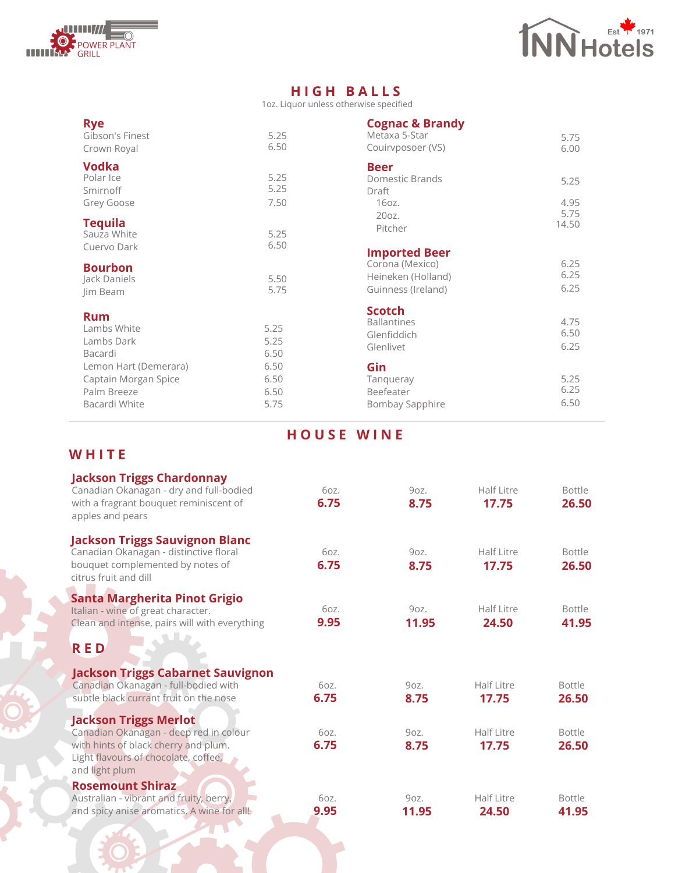



## **H I G H B A L L S**

1oz. Liquor unless otherwise specified

| <b>Rye</b><br>Gibson's Finest                      | 5.25                 | <b>Cognac &amp; Brandy</b><br>Metaxa 5-Star                     |                      |
|----------------------------------------------------|----------------------|-----------------------------------------------------------------|----------------------|
| Crown Royal                                        | 6.50                 | Couirvposoer (VS)                                               | 5.75<br>6.00         |
| Vodka<br>Polar Ice                                 | 5.25                 | <b>Beer</b><br>Domestic Brands                                  |                      |
| Smirnoff                                           | 5.25                 | Draft                                                           | 5.25                 |
| Grey Goose                                         | 7.50                 | $160z$ .<br>20oz.                                               | 4.95<br>5.75         |
| <b>Tequila</b><br>Sauza White                      | 5.25                 | Pitcher                                                         | 14.50                |
| Cuervo Dark                                        | 6.50                 | <b>Imported Beer</b>                                            |                      |
| <b>Bourbon</b><br>Jack Daniels<br>Jim Beam         | 5.50<br>5.75         | Corona (Mexico)<br>Heineken (Holland)<br>Guinness (Ireland)     | 6.25<br>6.25<br>6.25 |
| <b>Rum</b><br>Lambs White<br>Lambs Dark<br>Bacardi | 5.25<br>5.25<br>6.50 | <b>Scotch</b><br><b>Ballantines</b><br>Glenfiddich<br>Glenlivet | 4.75<br>6.50<br>6.25 |
| Lemon Hart (Demerara)                              | 6.50                 | Gin                                                             |                      |
| Captain Morgan Spice                               | 6.50                 | Tanqueray                                                       | 5.25                 |
| Palm Breeze                                        | 6.50                 | Beefeater                                                       | 6.25                 |
| Bacardi White                                      | 5.75                 | Bombay Sapphire                                                 | 6.50                 |

## **H O U S E W I N E**

## **W H I T E**

| <b>Jackson Triggs Chardonnay</b><br>Canadian Okanagan - dry and full-bodied<br>with a fragrant bouquet reminiscent of<br>apples and pears                                | 6oz.<br>6.75 | 90Z<br>8.75   | Half Litre<br>17.75 | <b>Bottle</b><br>26.50 |
|--------------------------------------------------------------------------------------------------------------------------------------------------------------------------|--------------|---------------|---------------------|------------------------|
| <b>Jackson Triggs Sauvignon Blanc</b><br>Canadian Okanagan - distinctive floral<br>bouquet complemented by notes of<br>citrus fruit and dill                             | 6oz.<br>6.75 | 90Z<br>8.75   | Half Litre<br>17.75 | <b>Bottle</b><br>26.50 |
| Santa Margherita Pinot Grigio<br>Italian - wine of great character.<br>Clean and intense, pairs will with everything                                                     | 6oz.<br>9.95 | 90Z<br>11.95  | Half Litre<br>24.50 | <b>Bottle</b><br>41.95 |
| <b>RED</b>                                                                                                                                                               |              |               |                     |                        |
| <b>Jackson Triggs Cabarnet Sauvignon</b><br>Canadian Okanagan - full-bodied with<br>subtle black currant fruit on the nose                                               | 607.<br>6.75 | 90Z.<br>8.75  | Half Litre<br>17.75 | <b>Bottle</b><br>26.50 |
| <b>Jackson Triggs Merlot</b><br>Canadian Okanagan - deep red in colour<br>with hints of black cherry and plum.<br>Light flavours of chocolate, coffee,<br>and light plum | 607.<br>6.75 | 90Z.<br>8.75  | Half Litre<br>17.75 | <b>Bottle</b><br>26.50 |
| <b>Rosemount Shiraz</b><br>Australian - vibrant and fruity, berry,<br>and spicy anise aromatics. A wine for all!                                                         | 6oz.<br>9.95 | 9oz.<br>11.95 | Half Litre<br>24.50 | <b>Bottle</b><br>41.95 |